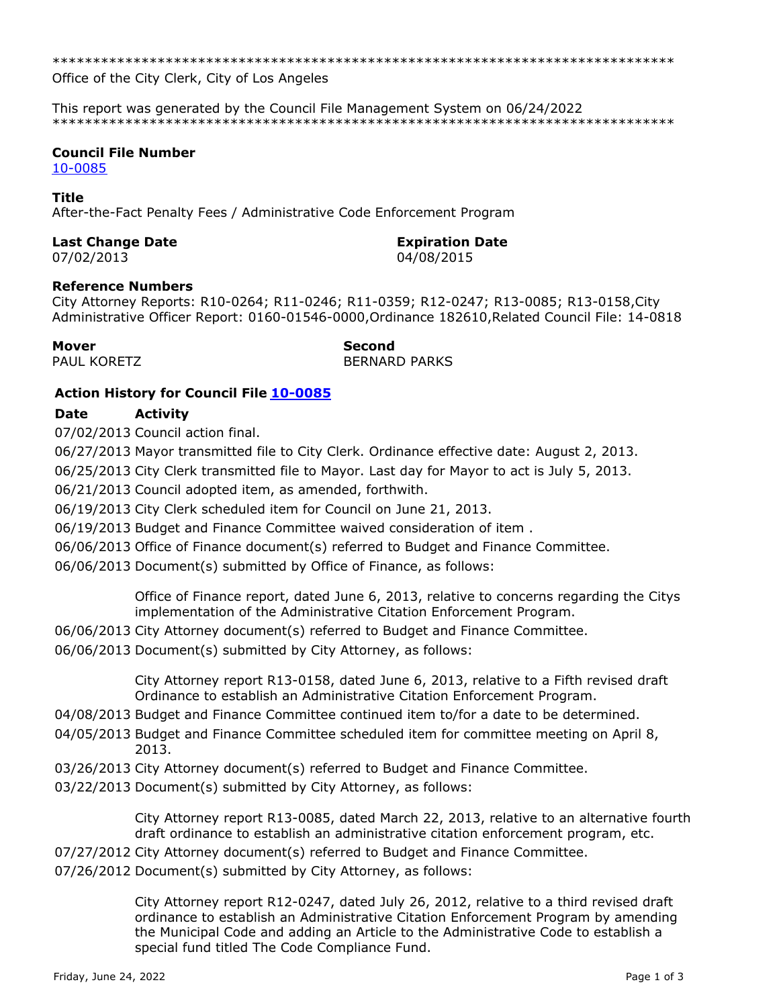\*\*\*\*\*\*\*\*\*\*\*\*\*\*\*\*\*\*\*\*\*\*\*\*\*\*\*\*\*\*\*\*\*\*\*\*\*\*\*\*\*\*\*\*\*\*\*\*\*\*\*\*\*\*\*\*\*\*\*\*\*\*\*\*\*\*\*\*\*\*\*\*\*\*\*\*\*

Office of the City Clerk, City of Los Angeles

This report was generated by the Council File Management System on 06/24/2022 \*\*\*\*\*\*\*\*\*\*\*\*\*\*\*\*\*\*\*\*\*\*\*\*\*\*\*\*\*\*\*\*\*\*\*\*\*\*\*\*\*\*\*\*\*\*\*\*\*\*\*\*\*\*\*\*\*\*\*\*\*\*\*\*\*\*\*\*\*\*\*\*\*\*\*\*\*

## **Council File Number**

[10-0085](https://cityclerk.lacity.org/lacityclerkconnect/index.cfm?fa=ccfi.viewrecord&cfnumber=10-0085)

#### **Title**

After-the-Fact Penalty Fees / Administrative Code Enforcement Program

### **Last Change Date Expiration Date**

07/02/2013 04/08/2015

### **Reference Numbers**

City Attorney Reports: R10-0264; R11-0246; R11-0359; R12-0247; R13-0085; R13-0158,City Administrative Officer Report: 0160-01546-0000,Ordinance 182610,Related Council File: 14-0818

**Mover Second** PAUL KORETZ BERNARD PARKS

# **Action History for Council File [10-0085](https://cityclerk.lacity.org/lacityclerkconnect/index.cfm?fa=ccfi.viewrecord&cfnumber=10-0085)**

# **Date Activity**

07/02/2013 Council action final.

06/27/2013 Mayor transmitted file to City Clerk. Ordinance effective date: August 2, 2013.

06/25/2013 City Clerk transmitted file to Mayor. Last day for Mayor to act is July 5, 2013.

06/21/2013 Council adopted item, as amended, forthwith.

06/19/2013 City Clerk scheduled item for Council on June 21, 2013.

06/19/2013 Budget and Finance Committee waived consideration of item .

06/06/2013 Office of Finance document(s) referred to Budget and Finance Committee.

06/06/2013 Document(s) submitted by Office of Finance, as follows:

Office of Finance report, dated June 6, 2013, relative to concerns regarding the Citys implementation of the Administrative Citation Enforcement Program.

- 06/06/2013 City Attorney document(s) referred to Budget and Finance Committee.
- 06/06/2013 Document(s) submitted by City Attorney, as follows:

City Attorney report R13-0158, dated June 6, 2013, relative to a Fifth revised draft Ordinance to establish an Administrative Citation Enforcement Program.

- 04/08/2013 Budget and Finance Committee continued item to/for a date to be determined.
- 04/05/2013 Budget and Finance Committee scheduled item for committee meeting on April 8, 2013.
- 03/26/2013 City Attorney document(s) referred to Budget and Finance Committee.
- 03/22/2013 Document(s) submitted by City Attorney, as follows:

City Attorney report R13-0085, dated March 22, 2013, relative to an alternative fourth draft ordinance to establish an administrative citation enforcement program, etc.

07/27/2012 City Attorney document(s) referred to Budget and Finance Committee.

07/26/2012 Document(s) submitted by City Attorney, as follows:

City Attorney report R12-0247, dated July 26, 2012, relative to a third revised draft ordinance to establish an Administrative Citation Enforcement Program by amending the Municipal Code and adding an Article to the Administrative Code to establish a special fund titled The Code Compliance Fund.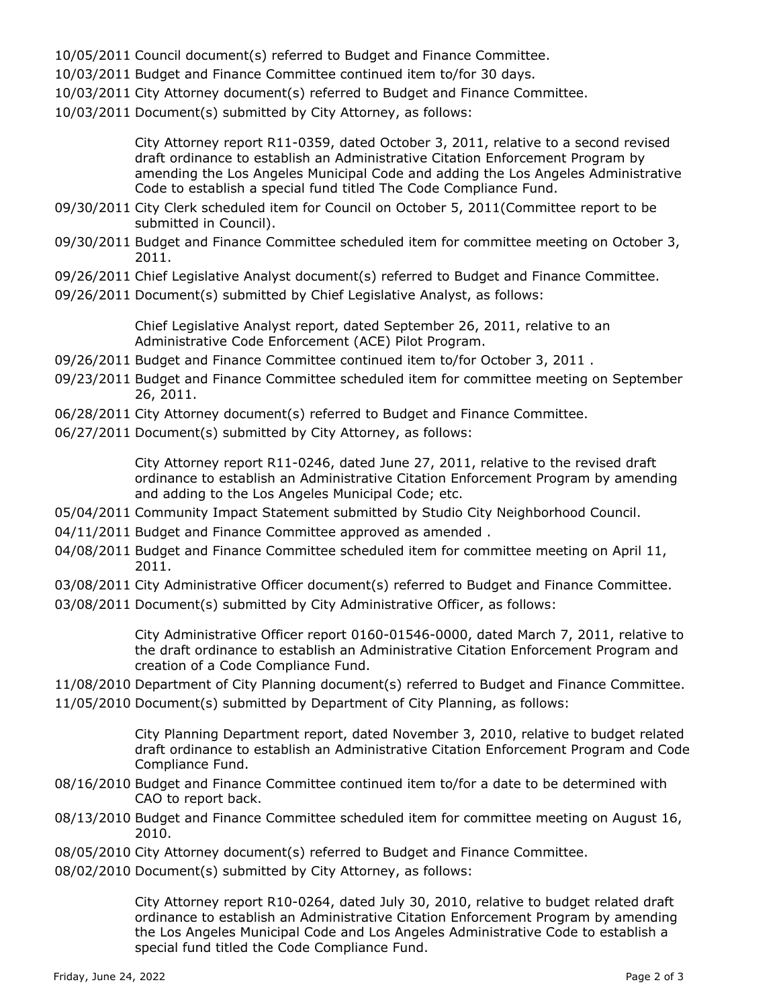- 10/05/2011 Council document(s) referred to Budget and Finance Committee.
- 10/03/2011 Budget and Finance Committee continued item to/for 30 days.
- 10/03/2011 City Attorney document(s) referred to Budget and Finance Committee.
- 10/03/2011 Document(s) submitted by City Attorney, as follows:

City Attorney report R11-0359, dated October 3, 2011, relative to a second revised draft ordinance to establish an Administrative Citation Enforcement Program by amending the Los Angeles Municipal Code and adding the Los Angeles Administrative Code to establish a special fund titled The Code Compliance Fund.

- 09/30/2011 City Clerk scheduled item for Council on October 5, 2011(Committee report to be submitted in Council).
- 09/30/2011 Budget and Finance Committee scheduled item for committee meeting on October 3, 2011.
- 09/26/2011 Chief Legislative Analyst document(s) referred to Budget and Finance Committee.
- 09/26/2011 Document(s) submitted by Chief Legislative Analyst, as follows:

Chief Legislative Analyst report, dated September 26, 2011, relative to an Administrative Code Enforcement (ACE) Pilot Program.

- 09/26/2011 Budget and Finance Committee continued item to/for October 3, 2011 .
- 09/23/2011 Budget and Finance Committee scheduled item for committee meeting on September 26, 2011.
- 06/28/2011 City Attorney document(s) referred to Budget and Finance Committee.
- 06/27/2011 Document(s) submitted by City Attorney, as follows:

City Attorney report R11-0246, dated June 27, 2011, relative to the revised draft ordinance to establish an Administrative Citation Enforcement Program by amending and adding to the Los Angeles Municipal Code; etc.

- 05/04/2011 Community Impact Statement submitted by Studio City Neighborhood Council.
- 04/11/2011 Budget and Finance Committee approved as amended .
- 04/08/2011 Budget and Finance Committee scheduled item for committee meeting on April 11, 2011.
- 03/08/2011 City Administrative Officer document(s) referred to Budget and Finance Committee.
- 03/08/2011 Document(s) submitted by City Administrative Officer, as follows:

City Administrative Officer report 0160-01546-0000, dated March 7, 2011, relative to the draft ordinance to establish an Administrative Citation Enforcement Program and creation of a Code Compliance Fund.

- 11/08/2010 Department of City Planning document(s) referred to Budget and Finance Committee.
- 11/05/2010 Document(s) submitted by Department of City Planning, as follows:

City Planning Department report, dated November 3, 2010, relative to budget related draft ordinance to establish an Administrative Citation Enforcement Program and Code Compliance Fund.

- 08/16/2010 Budget and Finance Committee continued item to/for a date to be determined with CAO to report back.
- 08/13/2010 Budget and Finance Committee scheduled item for committee meeting on August 16, 2010.
- 08/05/2010 City Attorney document(s) referred to Budget and Finance Committee.
- 08/02/2010 Document(s) submitted by City Attorney, as follows:

City Attorney report R10-0264, dated July 30, 2010, relative to budget related draft ordinance to establish an Administrative Citation Enforcement Program by amending the Los Angeles Municipal Code and Los Angeles Administrative Code to establish a special fund titled the Code Compliance Fund.